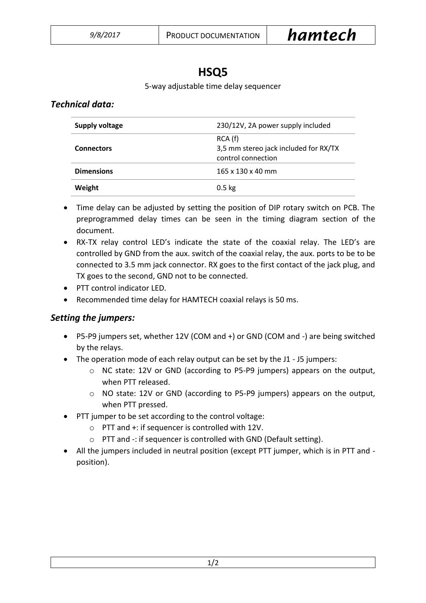## **HSQ5**

5-way adjustable time delay sequencer

## *Technical data:*

| Supply voltage    | 230/12V, 2A power supply included                                     |  |  |  |  |  |
|-------------------|-----------------------------------------------------------------------|--|--|--|--|--|
| <b>Connectors</b> | RCA(f)<br>3,5 mm stereo jack included for RX/TX<br>control connection |  |  |  |  |  |
| <b>Dimensions</b> | $165 \times 130 \times 40$ mm                                         |  |  |  |  |  |
| Weight            | $0.5$ kg                                                              |  |  |  |  |  |

- Time delay can be adjusted by setting the position of DIP rotary switch on PCB. The preprogrammed delay times can be seen in the timing diagram section of the document.
- RX-TX relay control LED's indicate the state of the coaxial relay. The LED's are controlled by GND from the aux. switch of the coaxial relay, the aux. ports to be to be connected to 3.5 mm jack connector. RX goes to the first contact of the jack plug, and TX goes to the second, GND not to be connected.
- PTT control indicator LED.
- Recommended time delay for HAMTECH coaxial relays is 50 ms.

## *Setting the jumpers:*

- P5-P9 jumpers set, whether 12V (COM and +) or GND (COM and -) are being switched by the relays.
- The operation mode of each relay output can be set by the J1 J5 jumpers:
	- o NC state: 12V or GND (according to P5-P9 jumpers) appears on the output, when PTT released.
	- o NO state: 12V or GND (according to P5-P9 jumpers) appears on the output, when PTT pressed.
- PTT jumper to be set according to the control voltage:
	- o PTT and +: if sequencer is controlled with 12V.
	- o PTT and -: if sequencer is controlled with GND (Default setting).
- All the jumpers included in neutral position (except PTT jumper, which is in PTT and position).